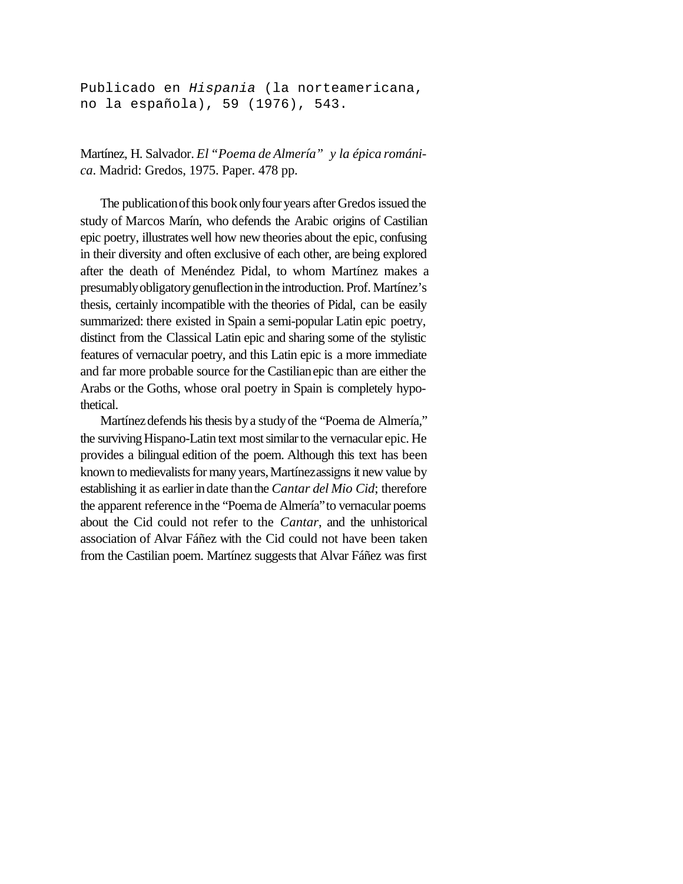Publicado en *Hispania* (la norteamericana, no la española), 59 (1976), 543.

Martínez, H. Salvador. *El "Poema de Almería" y la épica románica*. Madrid: Gredos, 1975. Paper. 478 pp.

The publication of this book only four years after Gredos issued the study of Marcos Marín, who defends the Arabic origins of Castilian epic poetry, illustrates well how new theories about the epic, confusing in their diversity and often exclusive of each other, are being explored after the death of Menéndez Pidal, to whom Martínez makes a presumablyobligatorygenuflectioninthe introduction. Prof. Martínez's thesis, certainly incompatible with the theories of Pidal, can be easily summarized: there existed in Spain a semi-popular Latin epic poetry, distinct from the Classical Latin epic and sharing some of the stylistic features of vernacular poetry, and this Latin epic is a more immediate and far more probable source forthe Castilianepic than are either the Arabs or the Goths, whose oral poetry in Spain is completely hypothetical.

Martínez defends his thesis by a study of the "Poema de Almería," the surviving Hispano-Latin text most similar to the vernacular epic. He provides a bilingual edition of the poem. Although this text has been known to medievalists for many years, Martínezassigns it new value by establishing it as earlier in date than the *Cantar del Mio Cid*; therefore the apparent reference inthe "Poema de Almería"to vernacular poems about the Cid could not refer to the *Cantar*, and the unhistorical association of Alvar Fáñez with the Cid could not have been taken from the Castilian poem. Martínez suggests that Alvar Fáñez was first